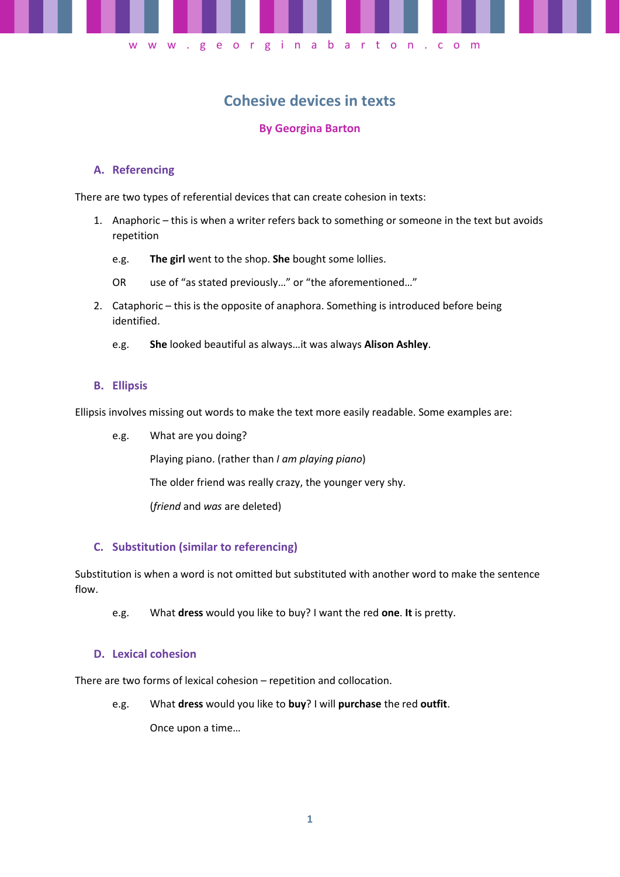

# **Cohesive devices in texts**

## **By Georgina Barton**

### **A. Referencing**

There are two types of referential devices that can create cohesion in texts:

- 1. Anaphoric this is when a writer refers back to something or someone in the text but avoids repetition
	- e.g. **The girl** went to the shop. **She** bought some lollies.
	- OR use of "as stated previously…" or "the aforementioned…"
- 2. Cataphoric this is the opposite of anaphora. Something is introduced before being identified.
	- e.g. **She** looked beautiful as always…it was always **Alison Ashley**.

#### **B. Ellipsis**

Ellipsis involves missing out words to make the text more easily readable. Some examples are:

e.g. What are you doing?

Playing piano. (rather than *I am playing piano*)

The older friend was really crazy, the younger very shy.

(*friend* and *was* are deleted)

#### **C. Substitution (similar to referencing)**

Substitution is when a word is not omitted but substituted with another word to make the sentence flow.

e.g. What **dress** would you like to buy? I want the red **one**. **It** is pretty.

#### **D. Lexical cohesion**

There are two forms of lexical cohesion – repetition and collocation.

e.g. What **dress** would you like to **buy**? I will **purchase** the red **outfit**.

Once upon a time…